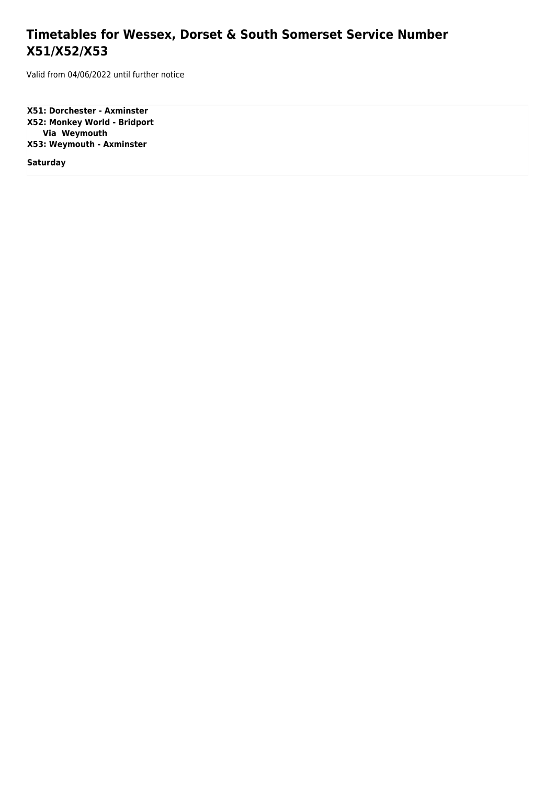## **Timetables for Wessex, Dorset & South Somerset Service Number X51/X52/X53**

Valid from 04/06/2022 until further notice

**X51: Dorchester - Axminster X52: Monkey World - Bridport Via Weymouth X53: Weymouth - Axminster**

**Saturday**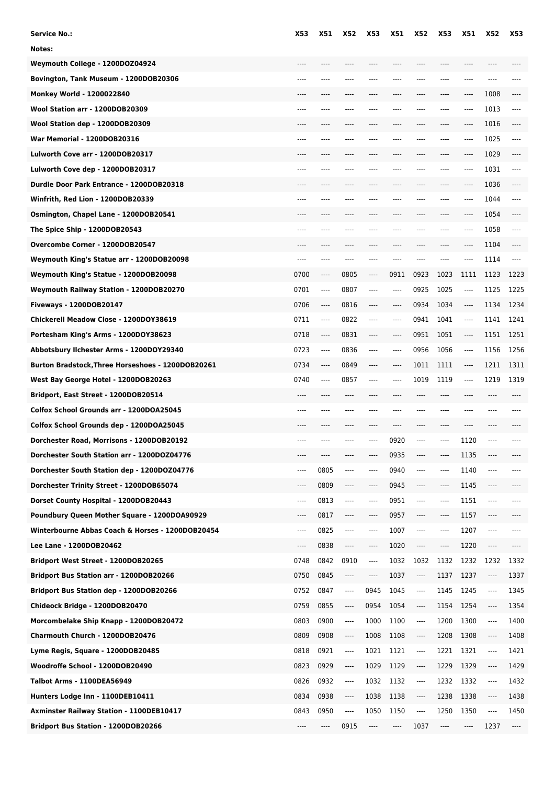| Service No.:                                      | X53                           | <b>X51</b> | <b>X52</b>                    | X53  | <b>X51</b> | <b>X52</b>                    | <b>X53</b> | <b>X51</b> | X52  | X53   |
|---------------------------------------------------|-------------------------------|------------|-------------------------------|------|------------|-------------------------------|------------|------------|------|-------|
| Notes:                                            |                               |            |                               |      |            |                               |            |            |      |       |
| Weymouth College - 1200DOZ04924                   |                               |            | ----                          |      |            |                               | $---$      | $- - - -$  |      |       |
| Bovington, Tank Museum - 1200DOB20306             |                               |            | ----                          | ---- |            |                               |            | ----       | ---- |       |
| Monkey World - 1200022840                         |                               |            |                               |      |            |                               |            | ----       | 1008 |       |
| Wool Station arr - 1200DOB20309                   |                               |            |                               |      |            |                               |            | ----       | 1013 | $---$ |
| Wool Station dep - 1200DOB20309                   |                               |            |                               |      |            |                               |            | ----       | 1016 |       |
| War Memorial - 1200DOB20316                       | ----                          |            | ----                          |      | ----       |                               | ----       | ----       | 1025 | $---$ |
| Lulworth Cove arr - 1200DOB20317                  |                               |            |                               |      |            |                               |            | ----       | 1029 |       |
| Lulworth Cove dep - 1200DOB20317                  |                               |            |                               |      |            |                               |            | ----       | 1031 | $---$ |
| Durdle Door Park Entrance - 1200DOB20318          |                               |            |                               |      |            |                               |            |            | 1036 |       |
| Winfrith, Red Lion - 1200DOB20339                 | $- - - -$                     | ----       | $---$                         | ---- | ----       |                               | ----       | $---$      | 1044 | $---$ |
| Osmington, Chapel Lane - 1200DOB20541             |                               |            |                               |      |            |                               |            | ----       | 1054 |       |
| The Spice Ship - 1200DOB20543                     |                               |            |                               |      |            |                               |            | ----       | 1058 |       |
| Overcombe Corner - 1200DOB20547                   |                               |            |                               |      |            |                               |            | ----       | 1104 |       |
| Weymouth King's Statue arr - 1200DOB20098         | $- - - -$                     | ----       | ----                          | ---- | ----       | ----                          | $---$      | ----       | 1114 | $---$ |
| Weymouth King's Statue - 1200DOB20098             | 0700                          | ----       | 0805                          | ---- | 0911       | 0923                          | 1023       | 1111       | 1123 | 1223  |
| Weymouth Railway Station - 1200DOB20270           | 0701                          | ----       | 0807                          | ---- | $---$      | 0925                          | 1025       | $^{***}$   | 1125 | 1225  |
| Fiveways - 1200DOB20147                           | 0706                          | ----       | 0816                          | ---- | ----       | 0934                          | 1034       | ----       | 1134 | 1234  |
| Chickerell Meadow Close - 1200DOY38619            | 0711                          | ----       | 0822                          | ---- | ----       | 0941                          | 1041       | ----       | 1141 | 1241  |
| Portesham King's Arms - 1200DOY38623              | 0718                          | ----       | 0831                          | ---- | ----       | 0951                          | 1051       | ----       | 1151 | 1251  |
| Abbotsbury Ilchester Arms - 1200DOY29340          | 0723                          | ----       | 0836                          | ---- | $---$      | 0956                          | 1056       | $^{***}$   | 1156 | 1256  |
| Burton Bradstock, Three Horseshoes - 1200DOB20261 | 0734                          | ----       | 0849                          | ---- |            | 1011                          | 1111       | $---$      | 1211 | 1311  |
| West Bay George Hotel - 1200DOB20263              | 0740                          | ----       | 0857                          | ---- | ----       | 1019                          | 1119       | $^{***}$   | 1219 | 1319  |
| Bridport, East Street - 1200DOB20514              | $---$                         | ----       | $---$                         | ---- |            | ----                          | ----       | ----       | ---- |       |
| Colfox School Grounds arr - 1200DOA25045          |                               |            |                               |      |            |                               |            |            |      |       |
| Colfox School Grounds dep - 1200DOA25045          |                               |            |                               |      |            |                               |            |            |      |       |
| Dorchester Road, Morrisons - 1200DOB20192         |                               |            |                               |      | 0920       |                               |            | 1120       | ---- |       |
| Dorchester South Station arr - 1200DOZ04776       |                               |            |                               | ---- | 0935       |                               | ----       | 1135       | ---- |       |
| Dorchester South Station dep - 1200DOZ04776       | $\cdots$                      | 0805       | $-----$                       | ---- | 0940       | ----                          | ----       | 1140       | ---- |       |
| Dorchester Trinity Street - 1200DOB65074          | $\cdots$                      | 0809       | $\cdots$                      | ---- | 0945       | ----                          | ----       | 1145       | ---- |       |
| Dorset County Hospital - 1200DOB20443             | $\cdots$                      | 0813       | $---$                         | ---- | 0951       | ----                          | ----       | 1151       | ---- | ----  |
| Poundbury Queen Mother Square - 1200DOA90929      | $---$                         | 0817       | $\hspace{1.5cm} \textbf{---}$ | ---- | 0957       | ----                          | ----       | 1157       | ---- | ----  |
| Winterbourne Abbas Coach & Horses - 1200DOB20454  | $\cdots$                      | 0825       | ----                          | ---- | 1007       | ----                          | ----       | 1207       | ---- | ----  |
| Lee Lane - 1200DOB20462                           | $\hspace{1.5cm} \textbf{---}$ | 0838       | $\hspace{1.5cm} \textbf{---}$ | ---- | 1020       | $\hspace{1.5cm} \textbf{---}$ | ----       | 1220       | ---- | ----  |
| Bridport West Street - 1200DOB20265               | 0748                          | 0842       | 0910                          | ---- | 1032       | 1032                          | 1132       | 1232       | 1232 | 1332  |
| Bridport Bus Station arr - 1200DOB20266           | 0750                          | 0845       | $\hspace{1.5cm} \textbf{---}$ | ---- | 1037       | $\overline{\phantom{a}}$      | 1137       | 1237       | ---- | 1337  |
| Bridport Bus Station dep - 1200DOB20266           | 0752                          | 0847       | $---$                         | 0945 | 1045       | ----                          | 1145       | 1245       | ---- | 1345  |
| Chideock Bridge - 1200DOB20470                    | 0759                          | 0855       | $\hspace{1.5cm} \textbf{---}$ | 0954 | 1054       | $---$                         | 1154       | 1254       | ---- | 1354  |
| Morcombelake Ship Knapp - 1200DOB20472            | 0803                          | 0900       | ----                          | 1000 | 1100       | $\overline{\phantom{a}}$      | 1200       | 1300       | ---- | 1400  |
| Charmouth Church - 1200DOB20476                   | 0809                          | 0908       | $\cdots$                      | 1008 | 1108       | $\overline{\phantom{a}}$      | 1208       | 1308       | ---- | 1408  |
| Lyme Regis, Square - 1200DOB20485                 | 0818                          | 0921       | ----                          | 1021 | 1121       | $\overline{\phantom{a}}$      | 1221       | 1321       | ---- | 1421  |
| Woodroffe School - 1200DOB20490                   | 0823                          | 0929       | ----                          | 1029 | 1129       | ----                          | 1229       | 1329       | ---- | 1429  |
| Talbot Arms - 1100DEA56949                        | 0826                          | 0932       | $\hspace{1.5cm} \textbf{---}$ | 1032 | 1132       | ----                          | 1232       | 1332       | ---- | 1432  |
| Hunters Lodge Inn - 1100DEB10411                  | 0834                          | 0938       | $\cdots$                      | 1038 | 1138       | $\hspace{1.5cm} \textbf{---}$ | 1238       | 1338       | ---- | 1438  |
| Axminster Railway Station - 1100DEB10417          | 0843                          | 0950       | $\overline{\phantom{a}}$      | 1050 | 1150       | $\overline{\phantom{a}}$      | 1250       | 1350       | ---- | 1450  |
| Bridport Bus Station - 1200DOB20266               | ----                          | ----       | 0915                          | ---- | ----       | 1037                          | ----       | ----       | 1237 | ----  |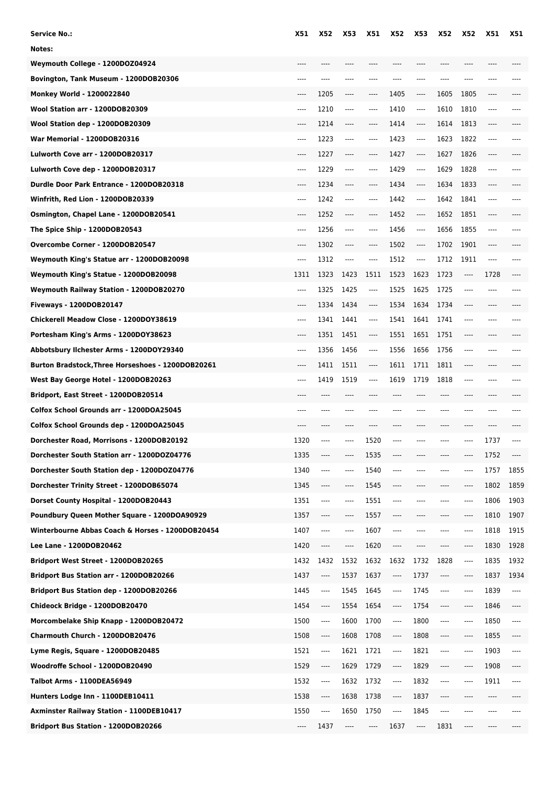| <b>Service No.:</b>                               | X51  | <b>X52</b> | X53  | X51                           | X52  | X53      | <b>X52</b> | <b>X52</b> | X51      | <b>X51</b> |
|---------------------------------------------------|------|------------|------|-------------------------------|------|----------|------------|------------|----------|------------|
| Notes:                                            |      |            |      |                               |      |          |            |            |          |            |
| Weymouth College - 1200DOZ04924                   | ---- |            | ---- | ----                          | ---- |          |            | ----       |          |            |
| Bovington, Tank Museum - 1200DOB20306             | ---- | ----       | ---- |                               | ---- | ----     |            |            |          |            |
| Monkey World - 1200022840                         | ---- | 1205       | ---- | ----                          | 1405 | $---$    | 1605       | 1805       | ----     |            |
| Wool Station arr - 1200DOB20309                   | ---- | 1210       | ---- | $---$                         | 1410 | $---$    | 1610       | 1810       | $---$    |            |
| Wool Station dep - 1200DOB20309                   | ---- | 1214       | ---- | ----                          | 1414 | $\cdots$ | 1614       | 1813       | $-----$  |            |
| War Memorial - 1200DOB20316                       | ---- | 1223       | ---- | ----                          | 1423 | ----     | 1623       | 1822       | $^{***}$ |            |
| Lulworth Cove arr - 1200DOB20317                  | ---- | 1227       | ---- | ----                          | 1427 | ----     | 1627       | 1826       | $\cdots$ |            |
| Lulworth Cove dep - 1200DOB20317                  | ---- | 1229       | ---- | ----                          | 1429 | ----     | 1629       | 1828       | $^{***}$ |            |
| Durdle Door Park Entrance - 1200DOB20318          | ---- | 1234       | ---- | ----                          | 1434 | ----     | 1634       | 1833       | $---$    |            |
| Winfrith, Red Lion - 1200DOB20339                 | ---- | 1242       | ---- | $---$                         | 1442 | ----     | 1642       | 1841       | $-----$  |            |
| Osmington, Chapel Lane - 1200DOB20541             | ---- | 1252       | ---- | $---$                         | 1452 | ----     | 1652       | 1851       | $---$    |            |
| The Spice Ship - 1200DOB20543                     | ---- | 1256       | ---- | ----                          | 1456 | ----     | 1656       | 1855       | ----     |            |
| Overcombe Corner - 1200DOB20547                   | ---- | 1302       | ---- | $-----$                       | 1502 | ----     | 1702       | 1901       | $---$    |            |
| Weymouth King's Statue arr - 1200DOB20098         | ---- | 1312       | ---- | $-----$                       | 1512 | ----     | 1712       | 1911       | $-----$  |            |
| Weymouth King's Statue - 1200DOB20098             | 1311 | 1323       | 1423 | 1511                          | 1523 | 1623     | 1723       | ----       | 1728     |            |
| Weymouth Railway Station - 1200DOB20270           | ---- | 1325       | 1425 | $\cdots$                      | 1525 | 1625     | 1725       | ----       |          |            |
| Fiveways - 1200DOB20147                           | ---- | 1334       | 1434 | ----                          | 1534 | 1634     | 1734       | ----       | $---$    |            |
| Chickerell Meadow Close - 1200DOY38619            | ---- | 1341       | 1441 | $\cdots$                      | 1541 | 1641     | 1741       | ----       | ----     |            |
| Portesham King's Arms - 1200DOY38623              |      | 1351       | 1451 | $\hspace{1.5cm} \textbf{---}$ | 1551 | 1651     | 1751       |            |          |            |
| Abbotsbury Ilchester Arms - 1200DOY29340          | ---- | 1356       | 1456 | $\cdots$                      | 1556 | 1656     | 1756       | ----       |          |            |
| Burton Bradstock, Three Horseshoes - 1200DOB20261 | ---- | 1411       | 1511 | $\cdots$                      | 1611 | 1711     | 1811       | ----       | $---$    |            |
| West Bay George Hotel - 1200DOB20263              | ---- | 1419       | 1519 | $---$                         | 1619 | 1719     | 1818       | ----       | $---$    |            |
| Bridport, East Street - 1200DOB20514              |      |            |      |                               |      |          |            |            |          |            |
| Colfox School Grounds arr - 1200DOA25045          |      |            |      |                               |      |          |            |            | $---$    |            |
| Colfox School Grounds dep - 1200DOA25045          |      |            |      |                               |      |          |            |            |          |            |
| Dorchester Road, Morrisons - 1200DOB20192         | 1320 | ----       | ---- | 1520                          | ---- |          |            | ----       | 1737     |            |
| Dorchester South Station arr - 1200DOZ04776       | 1335 |            | ---- | 1535                          |      |          |            | ----       | 1752     | $\cdots$   |
| Dorchester South Station dep - 1200DOZ04776       | 1340 | $-----$    | ---- | 1540                          | ---- | ----     | ----       | ----       | 1757     | 1855       |
| Dorchester Trinity Street - 1200DOB65074          | 1345 | $---$      | ---- | 1545                          | ---- | ----     |            | ----       | 1802     | 1859       |
| Dorset County Hospital - 1200DOB20443             | 1351 | $\cdots$   | ---- | 1551                          | ---- | ----     | ----       | ----       | 1806     | 1903       |
| Poundbury Queen Mother Square - 1200DOA90929      | 1357 | $---$      | ---- | 1557                          | ---- | ----     | ----       | ----       | 1810     | 1907       |
| Winterbourne Abbas Coach & Horses - 1200DOB20454  | 1407 | $-----$    | ---- | 1607                          | ---- | ----     | ----       | ----       | 1818     | 1915       |
| <b>Lee Lane - 1200DOB20462</b>                    | 1420 | $---$      | ---- | 1620                          | ---- |          |            | ----       | 1830     | 1928       |
| Bridport West Street - 1200DOB20265               | 1432 | 1432       | 1532 | 1632                          | 1632 | 1732     | 1828       | ----       | 1835     | 1932       |
| Bridport Bus Station arr - 1200DOB20266           | 1437 | ----       | 1537 | 1637                          | ---- | 1737     | $---$      | ----       | 1837     | 1934       |
| Bridport Bus Station dep - 1200DOB20266           | 1445 | ----       | 1545 | 1645                          | ---- | 1745     | ----       | ----       | 1839     | ----       |
| Chideock Bridge - 1200DOB20470                    | 1454 | ----       | 1554 | 1654                          | ---- | 1754     | $\cdots$   | ----       | 1846     | ----       |
| Morcombelake Ship Knapp - 1200DOB20472            | 1500 | $---$      | 1600 | 1700                          | ---- | 1800     | ----       | ----       | 1850     | $---$      |
| Charmouth Church - 1200DOB20476                   | 1508 | ----       | 1608 | 1708                          | ---- | 1808     | $-----$    | ----       | 1855     | $-----$    |
| Lyme Regis, Square - 1200DOB20485                 | 1521 | ----       | 1621 | 1721                          | ---- | 1821     | $-----$    | ----       | 1903     | $-----$    |
| Woodroffe School - 1200DOB20490                   | 1529 | ----       | 1629 | 1729                          | ---- | 1829     | ----       | ----       | 1908     | ----       |
| Talbot Arms - 1100DEA56949                        | 1532 | ----       | 1632 | 1732                          | ---- | 1832     | ----       | ----       | 1911     | $---$      |
| Hunters Lodge Inn - 1100DEB10411                  | 1538 | ----       | 1638 | 1738                          | ---- | 1837     | $---$      | ----       | $\cdots$ | ----       |
| <b>Axminster Railway Station - 1100DEB10417</b>   | 1550 | ----       | 1650 | 1750                          | ---- | 1845     |            | ---        | ----     |            |
| Bridport Bus Station - 1200DOB20266               | ---- | 1437       | ---- | ----                          | 1637 | ----     | 1831       |            | ----     |            |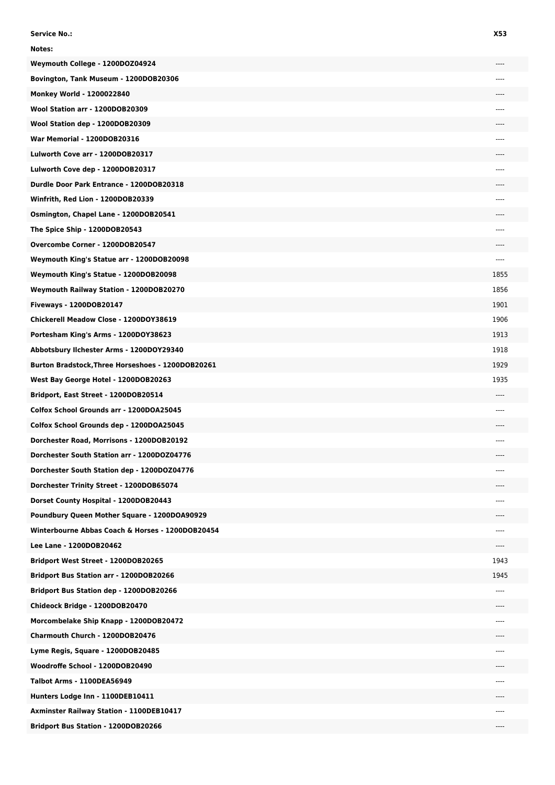| <b>Service No.:</b>                                      | X53   |
|----------------------------------------------------------|-------|
| Notes:                                                   |       |
| Weymouth College - 1200DOZ04924                          |       |
| Bovington, Tank Museum - 1200DOB20306                    | ----  |
| Monkey World - 1200022840                                |       |
| Wool Station arr - 1200DOB20309                          |       |
| Wool Station dep - 1200DOB20309                          |       |
| <b>War Memorial - 1200DOB20316</b>                       | ----  |
| Lulworth Cove arr - 1200DOB20317                         |       |
| Lulworth Cove dep - 1200DOB20317                         | ----  |
| Durdle Door Park Entrance - 1200DOB20318                 |       |
| Winfrith, Red Lion - 1200DOB20339                        |       |
| Osmington, Chapel Lane - 1200DOB20541                    |       |
| The Spice Ship - 1200DOB20543                            | ----  |
| Overcombe Corner - 1200DOB20547                          | ----  |
| Weymouth King's Statue arr - 1200DOB20098                | ----  |
| Weymouth King's Statue - 1200DOB20098                    | 1855  |
| Weymouth Railway Station - 1200DOB20270                  | 1856  |
| Fiveways - 1200DOB20147                                  | 1901  |
| Chickerell Meadow Close - 1200DOY38619                   | 1906  |
| Portesham King's Arms - 1200DOY38623                     | 1913  |
| Abbotsbury Ilchester Arms - 1200DOY29340                 | 1918  |
| <b>Burton Bradstock, Three Horseshoes - 1200DOB20261</b> | 1929  |
| West Bay George Hotel - 1200DOB20263                     | 1935  |
| Bridport, East Street - 1200DOB20514                     |       |
| Colfox School Grounds arr - 1200DOA25045                 | $---$ |
| Colfox School Grounds dep - 1200DOA25045                 |       |
| Dorchester Road, Morrisons - 1200DOB20192                |       |
| Dorchester South Station arr - 1200DOZ04776              |       |
| Dorchester South Station dep - 1200DOZ04776              | ----  |
| Dorchester Trinity Street - 1200DOB65074                 | ----  |
| Dorset County Hospital - 1200DOB20443                    | ---   |
| Poundbury Queen Mother Square - 1200DOA90929             |       |
| Winterbourne Abbas Coach & Horses - 1200DOB20454         | ----  |
| Lee Lane - 1200DOB20462                                  |       |
| Bridport West Street - 1200DOB20265                      | 1943  |
| Bridport Bus Station arr - 1200DOB20266                  | 1945  |
| <b>Bridport Bus Station dep - 1200DOB20266</b>           | ----  |
| Chideock Bridge - 1200DOB20470                           |       |
| Morcombelake Ship Knapp - 1200DOB20472                   | ----  |
| Charmouth Church - 1200DOB20476                          |       |
| Lyme Regis, Square - 1200DOB20485                        |       |
| Woodroffe School - 1200DOB20490                          | ----  |
| Talbot Arms - 1100DEA56949                               | ----  |
| Hunters Lodge Inn - 1100DEB10411                         |       |
| Axminster Railway Station - 1100DEB10417                 |       |
| Bridport Bus Station - 1200DOB20266                      | ----  |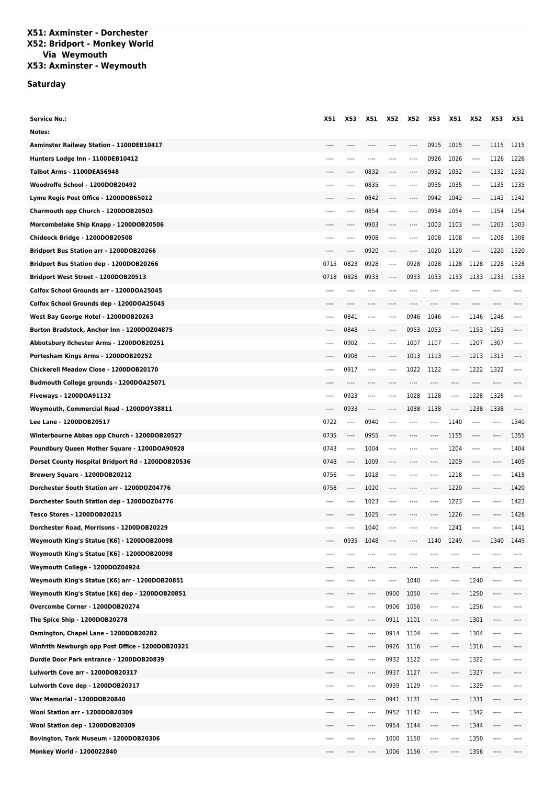## **X51: Axminster - Dorchester X52: Bridport - Monkey World Via Weymouth X53: Axminster - Weymouth**

## **Saturday**

| <b>Service No.:</b>                               | X51  | X53      | X51       | X52       | X52  | X53     | X51      | X52  | X53                      | X51   |
|---------------------------------------------------|------|----------|-----------|-----------|------|---------|----------|------|--------------------------|-------|
| Notes:                                            |      |          |           |           |      |         |          |      |                          |       |
| Axminster Railway Station - 1100DEB10417          | ---- | $---$    | ----      | ----      | ---- | 0915    | 1015     | ---- | 1115                     | 1215  |
| Hunters Lodge Inn - 1100DEB10412                  | ---- | ----     |           | ----      | ---- | 0926    | 1026     | ---- | 1126                     | 1226  |
| <b>Talbot Arms - 1100DEA56948</b>                 |      | ----     | 0832      | $---$     | ---- | 0932    | 1032     | ---- | 1132                     | 1232  |
| Woodroffe School - 1200DOB20492                   | ---- | ----     | 0835      |           | ---- | 0935    | 1035     | ---- | 1135                     | 1235  |
| Lyme Regis Post Office - 1200DOB65012             |      | ----     | 0842      | $---$     | ---- | 0942    | 1042     | ---- | 1142                     | 1242  |
| Charmouth opp Church - 1200DOB20503               |      | $---$    | 0854      | ----      | ---- | 0954    | 1054     | ---- | 1154                     | 1254  |
| Morcombelake Ship Knapp - 1200DOB20506            |      | ----     | 0903      | $---$     | ---- | 1003    | 1103     | ---- | 1203                     | 1303  |
| Chideock Bridge - 1200DOB20508                    | ---- | $---$    | 0908      | $-----$   | ---- | 1008    | 1108     | ---- | 1208                     | 1308  |
| Bridport Bus Station arr - 1200DOB20266           | ---- | $^{***}$ | 0920      | ----      | ---- | 1020    | 1120     | ---- | 1220                     | 1320  |
| <b>Bridport Bus Station dep - 1200DOB20266</b>    | 0715 | 0823     | 0928      | $-----$   | 0928 | 1028    | 1128     | 1128 | 1228                     | 1328  |
| Bridport West Street - 1200DOB20513               | 0718 | 0828     | 0933      |           | 0933 | 1033    | 1133     | 1133 | 1233                     | 1333  |
| Colfox School Grounds arr - 1200DOA25045          | ---- | ----     | ----      | ----      | ---- |         | ----     | ---- | $- - - -$                |       |
| Colfox School Grounds dep - 1200DOA25045          |      |          |           |           |      |         |          |      |                          |       |
| West Bay George Hotel - 1200DOB20263              | ---- | 0841     | $---$     | ----      | 0946 | 1046    | ----     | 1146 | 1246                     | ----  |
| Burton Bradstock, Anchor Inn - 1200DOZ04875       | ---- | 0848     | ----      | ----      | 0953 | 1053    | ----     | 1153 | 1253                     | ----  |
| Abbotsbury Ilchester Arms - 1200DOB20251          | ---- | 0902     | ----      | $---$     | 1007 | 1107    | $\cdots$ | 1207 | 1307                     | $---$ |
| Portesham Kings Arms - 1200DOB20252               | ---- | 0908     | ----      | $---$     | 1013 | 1113    | $\cdots$ | 1213 | 1313                     | $---$ |
| Chickerell Meadow Close - 1200DOB20170            | ---- | 0917     |           |           | 1022 | 1122    | ----     | 1222 | 1322                     |       |
| <b>Budmouth College grounds - 1200DOA25071</b>    | ---- | $---$    | ----      |           |      |         | ----     |      | $---$                    |       |
| Fiveways - 1200DOA91132                           | ---- | 0923     | $- - - -$ | ----      | 1028 | 1128    | ----     | 1228 | 1328                     |       |
| Weymouth, Commercial Road - 1200DOY38811          | ---- | 0933     | ----      | $- - - -$ | 1038 | 1138    | ----     | 1238 | 1338                     | $---$ |
| Lee Lane - 1200DOB20517                           | 0722 | $-----$  | 0940      | $- - - -$ | ---- | ----    | 1140     | ---- | $---$                    | 1340  |
| Winterbourne Abbas opp Church - 1200DOB20527      | 0735 | $^{***}$ | 0955      | ----      | ---- | ----    | 1155     | ---- | $^{***}$                 | 1355  |
| Poundbury Queen Mother Square - 1200DOA90928      | 0743 | ----     | 1004      | ----      | ---- | ----    | 1204     | ---- | $---$                    | 1404  |
| Dorset County Hospital Bridport Rd - 1200DOB20536 | 0748 | ----     | 1009      |           | ---- |         | 1209     | ---- | $---$                    | 1409  |
| Brewery Square - 1200DOB20212                     | 0756 | $---$    | 1018      | $---$     | ---- | $---$   | 1218     | ---- | $---$                    | 1418  |
| Dorchester South Station arr - 1200DOZ04776       | 0758 | ----     | 1020      |           |      |         | 1220     |      |                          | 1420  |
| Dorchester South Station dep - 1200DOZ04776       | ---- | $---$    | 1023      | $---$     | ---- | ----    | 1223     | ---- | $---$                    | 1423  |
| <b>Tesco Stores - 1200DOB20215</b>                |      |          | 1025      |           | ---- |         | 1226     | ---- | ----                     | 1426  |
| Dorchester Road, Morrisons - 1200DOB20229         | ---- | ----     | 1040      | ----      | ---- | ----    | 1241     | ---- | $---$                    | 1441  |
| Weymouth King's Statue [K6] - 1200DOB20098        |      | 0935     | 1048      |           |      | 1140    | 1249     |      | 1340                     | 1449  |
| Weymouth King's Statue [K6] - 1200DOB20098        |      | ----     |           |           |      |         | ----     |      |                          |       |
| Weymouth College - 1200DOZ04924                   | ---- | ----     |           |           | ---- | ----    | ----     | ---- | $---$                    |       |
| Weymouth King's Statue [K6] arr - 1200DOB20851    |      | ----     |           | ----      | 1040 | ----    | ----     | 1240 | ----                     | ----  |
| Weymouth King's Statue [K6] dep - 1200DOB20851    |      | $---$    | ----      | 0900      | 1050 | $---$   | ----     | 1250 | $---$                    |       |
| Overcombe Corner - 1200DOB20274                   |      | $---$    | $---$     | 0906      | 1056 | $-----$ | ----     | 1256 | $^{***}$                 | ----  |
| The Spice Ship - 1200DOB20278                     | ---- | ----     | ----      | 0911      | 1101 | ----    | ----     | 1301 | $^{***}$                 | ----  |
| Osmington, Chapel Lane - 1200DOB20282             |      | ----     | ----      | 0914      | 1104 | ----    | ----     | 1304 | ----                     |       |
| Winfrith Newburgh opp Post Office - 1200DOB20321  | ---- | ----     | ----      | 0926      | 1116 | ----    | ----     | 1316 | ----                     |       |
| Durdle Door Park entrance - 1200DOB20839          | ---- | $---$    | ----      | 0932      | 1122 | $---$   | ----     | 1322 | $^{***}$                 | ----  |
| Lulworth Cove arr - 1200DOB20317                  |      |          | ----      | 0937      | 1127 | ----    | ----     | 1327 | $---$                    |       |
| Lulworth Cove dep - 1200DOB20317                  |      | ----     | ----      | 0939      | 1129 | $---$   | ----     | 1329 | $^{***}$                 | ----  |
| War Memorial - 1200DOB20840                       |      |          |           | 0941      | 1131 | ----    | ----     | 1331 | $^{***}$                 |       |
| Wool Station arr - 1200DOB20309                   | ---- | ----     | ----      | 0952      | 1142 | $-----$ | ----     | 1342 | ----                     | ----  |
| Wool Station dep - 1200DOB20309                   |      | ----     | ----      | 0954      | 1144 | $-----$ | ----     | 1344 | ----                     | ----  |
| Bovington, Tank Museum - 1200DOB20306             |      | ----     | $---$     | 1000      | 1150 |         | ----     | 1350 | $\overline{\phantom{a}}$ | ----  |
| <b>Monkey World - 1200022840</b>                  | ---- | ----     | ----      | 1006      | 1156 | $-----$ | ----     | 1356 | $---$                    |       |